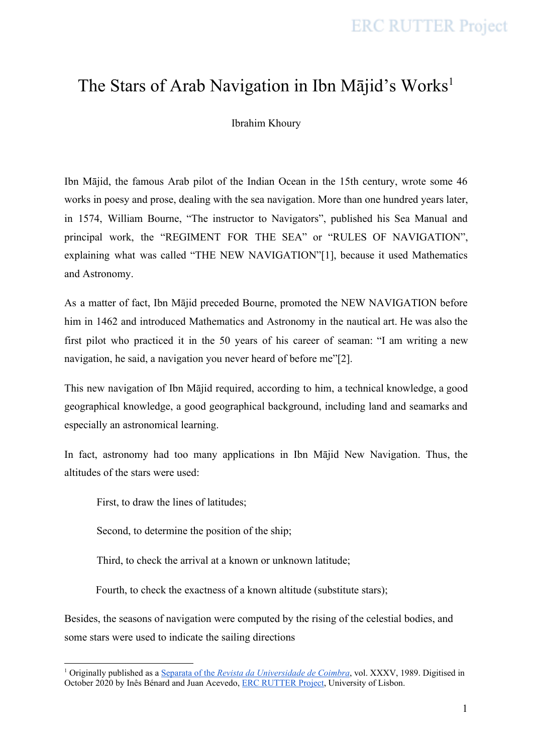# The Stars of Arab Navigation in Ibn Mājid's Works<sup>1</sup>

Ibrahim Khoury

Ibn Mājid, the famous Arab pilot of the Indian Ocean in the 15th century, wrote some 46 works in poesy and prose, dealing with the sea navigation. More than one hundred years later, in 1574, William Bourne, "The instructor to Navigators", published his Sea Manual and principal work, the "REGIMENT FOR THE SEA" or "RULES OF NAVIGATION", explaining what was called "THE NEW NAVIGATION"[1], because it used Mathematics and Astronomy.

As a matter of fact, Ibn Mājid preceded Bourne, promoted the NEW NAVIGATION before him in 1462 and introduced Mathematics and Astronomy in the nautical art. He was also the first pilot who practiced it in the 50 years of his career of seaman: "I am writing a new navigation, he said, a navigation you never heard of before me"[2].

This new navigation of Ibn Mājid required, according to him, a technical knowledge, a good geographical knowledge, a good geographical background, including land and seamarks and especially an astronomical learning.

In fact, astronomy had too many applications in Ibn Mājid New Navigation. Thus, the altitudes of the stars were used:

First, to draw the lines of latitudes;

Second, to determine the position of the ship;

Third, to check the arrival at a known or unknown latitude;

Fourth, to check the exactness of a known altitude (substitute stars);

Besides, the seasons of navigation were computed by the rising of the celestial bodies, and some stars were used to indicate the sailing directions

<sup>1</sup> Originally published as a [Separata](https://books.google.pt/books?id=5tjfYc4-AYoC&pg=PA395&lpg=PA395#v=onepage&q&f=false) of the *Revista da [Universidade](https://books.google.pt/books?id=5tjfYc4-AYoC&pg=PA395&lpg=PA395#v=onepage&q&f=false) de Coimbra*, vol. XXXV, 1989. Digitised in October 2020 by Inês Bénard and Juan Acevedo, ERC [RUTTER](https://www.rutter-project.org/) Project, University of Lisbon.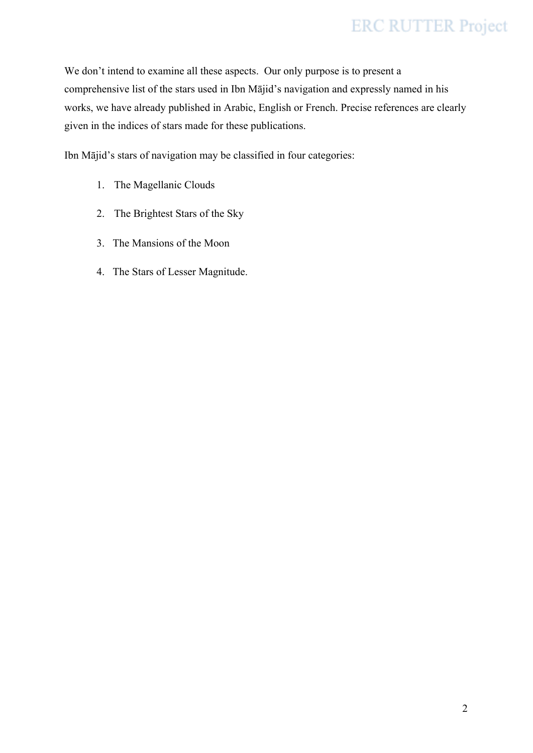We don't intend to examine all these aspects. Our only purpose is to present a comprehensive list of the stars used in Ibn Mājid's navigation and expressly named in his works, we have already published in Arabic, English or French. Precise references are clearly given in the indices of stars made for these publications.

Ibn Mājid's stars of navigation may be classified in four categories:

- 1. The Magellanic Clouds
- 2. The Brightest Stars of the Sky
- 3. The Mansions of the Moon
- 4. The Stars of Lesser Magnitude.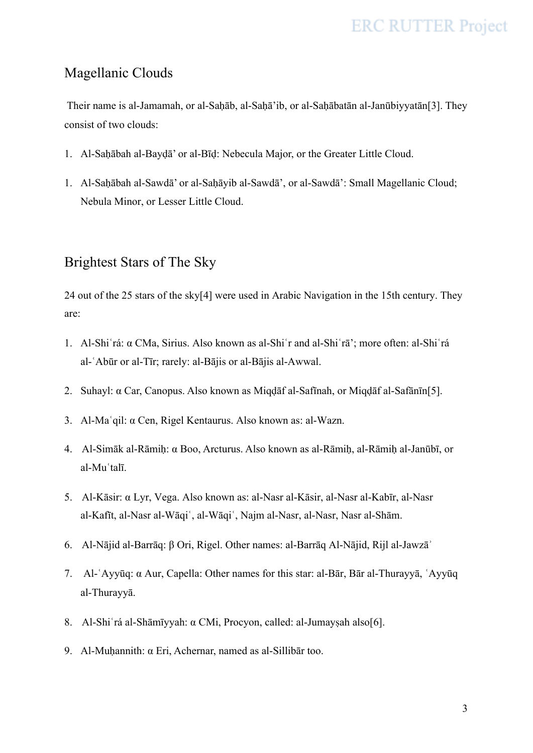### Magellanic Clouds

Their name is al-Jamamah, or al-Saḥāb, al-Saḥā'ib, or al-Saḥābatān al-Janūbiyyatān[3]. They consist of two clouds:

- 1. Al-Saḥābah al-Bayḍā' or al-Bīḍ: Nebecula Major, or the Greater Little Cloud.
- 1. Al-Saḥābah al-Sawdā' or al-Saḥāyib al-Sawdā', or al-Sawdā': Small Magellanic Cloud; Nebula Minor, or Lesser Little Cloud.

### Brightest Stars of The Sky

24 out of the 25 stars of the sky[4] were used in Arabic Navigation in the 15th century. They are:

- 1. Al-Shiʿrá: α CMa, Sirius. Also known as al-Shiʿr and al-Shiʿrā'; more often: al-Shiʿrá al-ʿAbūr or al-Tīr; rarely: al-Bājis or al-Bājis al-Awwal.
- 2. Suhayl: α Car, Canopus. Also known as Miqḍāf al-Safīnah, or Miqḍāf al-Safānīn[5].
- 3. Al-Maʿqil: α Cen, Rigel Kentaurus. Also known as: al-Wazn.
- 4. Al-Simāk al-Rāmiḥ: α Boo, Arcturus. Also known as al-Rāmiḥ, al-Rāmiḥ al-Janūbī, or al-Muʿtalī.
- 5. Al-Kāsir: α Lyr, Vega. Also known as: al-Nasr al-Kāsir, al-Nasr al-Kabīr, al-Nasr al-Kafīt, al-Nasr al-Wāqiʿ, al-Wāqiʿ, Najm al-Nasr, al-Nasr, Nasr al-Shām.
- 6. Al-Nājid al-Barrāq: β Ori, Rigel. Other names: al-Barrāq Al-Nājid, Rijl al-Jawzāʾ
- 7. Al-ʿAyyūq: α Aur, Capella: Other names for this star: al-Bār, Bār al-Thurayyā, ʿAyyūq al-Thurayyā.
- 8. Al-Shiʿrá al-Shāmīyyah: α CMi, Procyon, called: al-Jumayṣah also[6].
- 9. Al-Muḥannith: α Eri, Achernar, named as al-Sillibār too.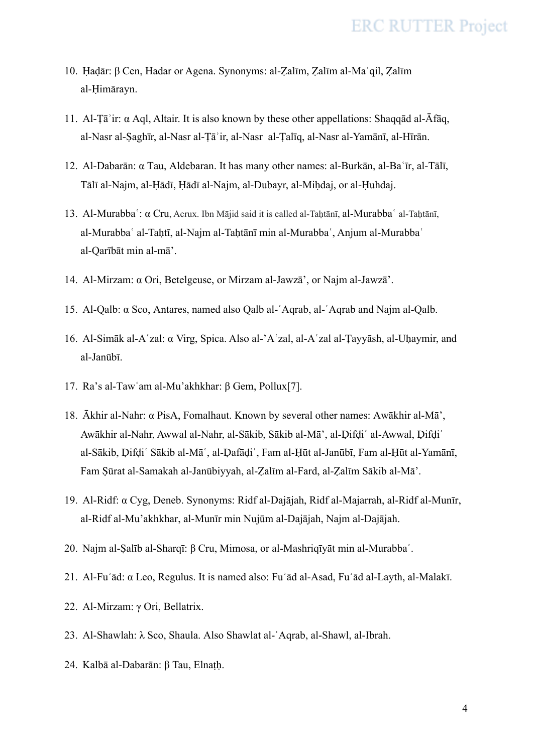- 10. Ḥaḍār: β Cen, Hadar or Agena. Synonyms: al-Ẓalīm, Ẓalīm al-Maʿqil, Ẓalīm al-Ḥimārayn.
- 11. Al-Ṭāʾir: α Aql, Altair. It is also known by these other appellations: Shaqqād al-Āfāq, al-Nasr al-Ṣaghīr, al-Nasr al-Ṭāʾir, al-Nasr al-Ṭalīq, al-Nasr al-Yamānī, al-Hīrān.
- 12. Al-Dabarān: α Tau, Aldebaran. It has many other names: al-Burkān, al-Baʿīr, al-Tālī, Tālī al-Najm, al-Ḥādī, Ḥādī al-Najm, al-Dubayr, al-Miḥdaj, or al-Ḥuhdaj.
- 13. Al-Murabbaʿ: α Cru, Acrux. Ibn Mājid said it is called al-Taḥtānī, al-Murabbaʿ al-Taḥtānī, al-Murabbaʿ al-Taḥtī, al-Najm al-Taḥtānī min al-Murabbaʿ, Anjum al-Murabbaʿ al-Qarībāt min al-mā'.
- 14. Al-Mirzam: α Ori, Betelgeuse, or Mirzam al-Jawzā', or Najm al-Jawzā'.
- 15. Al-Qalb: α Sco, Antares, named also Qalb al-ʿAqrab, al-ʿAqrab and Najm al-Qalb.
- 16. Al-Simāk al-Aʿzal: α Virg, Spica. Also al-'Aʿzal, al-Aʿzal al-Ṭayyāsh, al-Uḥaymir, and al-Janūbī.
- 17. Ra's al-Tawʿam al-Mu'akhkhar: β Gem, Pollux[7].
- 18. Ākhir al-Nahr: α PisA, Fomalhaut. Known by several other names: Awākhir al-Mā', Awākhir al-Nahr, Awwal al-Nahr, al-Sākib, Sākib al-Mā', al-Ḍifḍiʿ al-Awwal, Ḍifḍiʿ al-Sākib, Ḍifḍiʿ Sākib al-Māʿ, al-Ḍafāḍiʿ, Fam al-Ḥūt al-Janūbī, Fam al-Ḥūt al-Yamānī, Fam Ṣūrat al-Samakah al-Janūbiyyah, al-Ẓalīm al-Fard, al-Ẓalīm Sākib al-Mā'.
- 19. Al-Ridf: α Cyg, Deneb. Synonyms: Ridf al-Dajājah, Ridf al-Majarrah, al-Ridf al-Munīr, al-Ridf al-Mu'akhkhar, al-Munīr min Nujūm al-Dajājah, Najm al-Dajājah.
- 20. Najm al-Ṣalīb al-Sharqī: β Cru, Mimosa, or al-Mashriqīyāt min al-Murabbaʿ.
- 21. Al-Fuʾād: α Leo, Regulus. It is named also: Fuʾād al-Asad, Fuʾād al-Layth, al-Malakī.
- 22. Al-Mirzam: γ Ori, Bellatrix.
- 23. Al-Shawlah: λ Sco, Shaula. Also Shawlat al-ʿAqrab, al-Shawl, al-Ibrah.
- 24. Kalbā al-Dabarān: β Tau, Elnaṭḥ.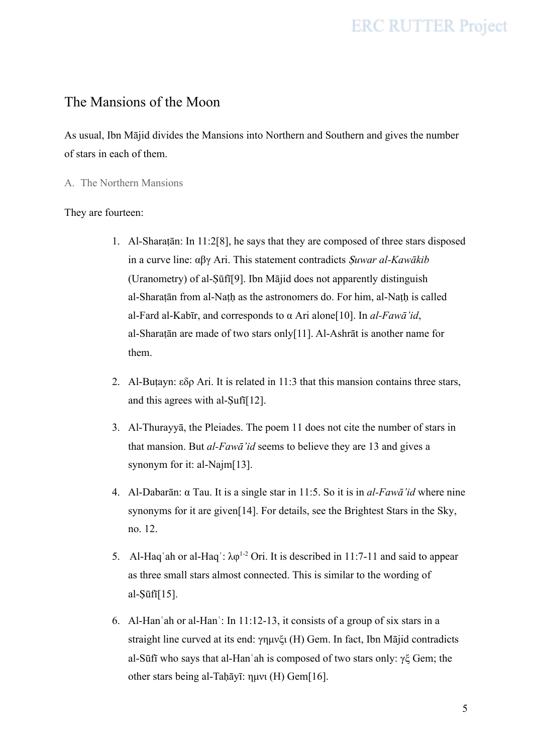### The Mansions of the Moon

As usual, Ibn Mājid divides the Mansions into Northern and Southern and gives the number of stars in each of them.

A. The Northern Mansions

#### They are fourteen:

- 1. Al-Sharaṭān: In 11:2[8], he says that they are composed of three stars disposed in a curve line: αβγ Ari. This statement contradicts Ṣ*uwar al-Kawākib* (Uranometry) of al-Ṣūfī[9]. Ibn Mājid does not apparently distinguish al-Sharaṭān from al-Naṭḥ as the astronomers do. For him, al-Naṭḥ is called al-Fard al-Kabīr, and corresponds to α Ari alone[10]. In *al-Fawā'id*, al-Sharaṭān are made of two stars only[11]. Al-Ashrāt is another name for them.
- 2. Al-Butayn: εδρ Ari. It is related in 11:3 that this mansion contains three stars, and this agrees with al-Ṣufī[12].
- 3. Al-Thurayyā, the Pleiades. The poem 11 does not cite the number of stars in that mansion. But *al-Fawā'id* seems to believe they are 13 and gives a synonym for it: al-Najm[13].
- 4. Al-Dabarān: α Tau. It is a single star in 11:5. So it is in *al-Fawā'id* where nine synonyms for it are given[14]. For details, see the Brightest Stars in the Sky, no. 12.
- 5. Al-Haq'ah or al-Haq':  $\lambda \varphi^{1-2}$  Ori. It is described in 11:7-11 and said to appear as three small stars almost connected. This is similar to the wording of al-Ṣūfī[15].
- 6. Al-Hanʿah or al-Hanʿ: In 11:12-13, it consists of a group of six stars in a straight line curved at its end: γημνξι (H) Gem. In fact, Ibn Mājid contradicts al-Sūfī who says that al-Hanʿah is composed of two stars only: γξ Gem; the other stars being al-Taḥāyī: ημνι (H) Gem[16].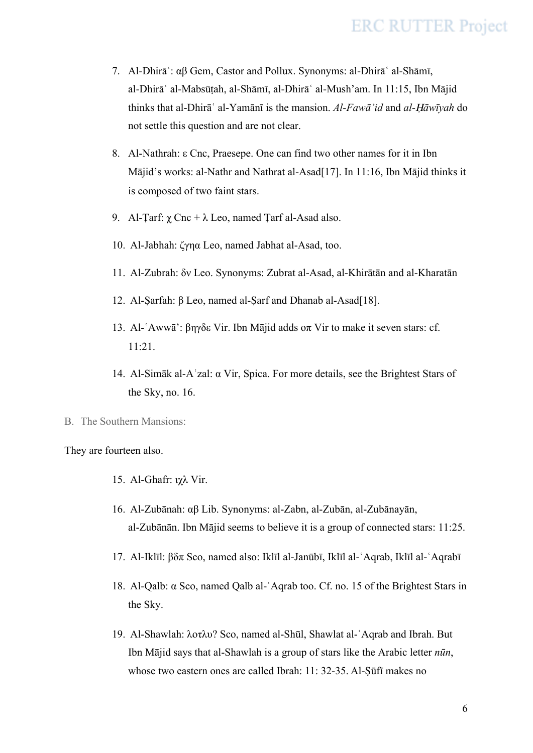- 7. Al-Dhirāʿ: αβ Gem, Castor and Pollux. Synonyms: al-Dhirāʿ al-Shāmī, al-Dhirāʿ al-Mabsūṭah, al-Shāmī, al-Dhirāʿ al-Mush'am. In 11:15, Ibn Mājid thinks that al-Dhirāʿ al-Yamānī is the mansion. *Al-Fawā'id* and *al-*Ḥ*āwīyah* do not settle this question and are not clear.
- 8. Al-Nathrah: ε Cnc, Praesepe. One can find two other names for it in Ibn Mājid's works: al-Nathr and Nathrat al-Asad[17]. In 11:16, Ibn Mājid thinks it is composed of two faint stars.
- 9. Al-Tarf:  $\gamma$  Cnc +  $\lambda$  Leo, named Tarf al-Asad also.
- 10. Al-Jabhah: ζγηα Leo, named Jabhat al-Asad, too.
- 11. Al-Zubrah: δν Leo. Synonyms: Zubrat al-Asad, al-Khirātān and al-Kharatān
- 12. Al-Ṣarfah: β Leo, named al-Ṣarf and Dhanab al-Asad[18].
- 13. Al-ʿAwwā': βηγδε Vir. Ibn Mājid adds οπ Vir to make it seven stars: cf. 11:21.
- 14. Al-Simāk al-Aʿzal: α Vir, Spica. For more details, see the Brightest Stars of the Sky, no. 16.
- B. The Southern Mansions:

They are fourteen also.

- 15. Al-Ghafr: ιχλ Vir.
- 16. Al-Zubānah: αβ Lib. Synonyms: al-Zabn, al-Zubān, al-Zubānayān, al-Zubānān. Ibn Mājid seems to believe it is a group of connected stars: 11:25.
- 17. Al-Iklīl: βδπ Sco, named also: Iklīl al-Janūbī, Iklīl al-ʿAqrab, Iklīl al-ʿAqrabī
- 18. Al-Qalb: α Sco, named Qalb al-ʿAqrab too. Cf. no. 15 of the Brightest Stars in the Sky.
- 19. Al-Shawlah: λοτλυ? Sco, named al-Shūl, Shawlat al-ʿAqrab and Ibrah. But Ibn Mājid says that al-Shawlah is a group of stars like the Arabic letter *nūn*, whose two eastern ones are called Ibrah: 11: 32-35. Al-Sūfī makes no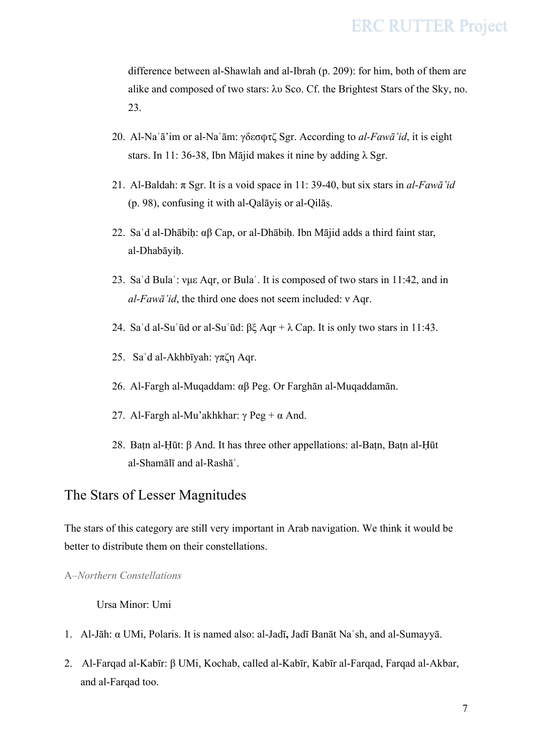difference between al-Shawlah and al-Ibrah (p. 209): for him, both of them are alike and composed of two stars: λυ Sco. Cf. the Brightest Stars of the Sky, no. 23.

- 20. Al-Naʿā'im or al-Naʿām: γδεσϕτζ Sgr. According to *al-Fawā'id*, it is eight stars. In 11: 36-38, Ibn Mājid makes it nine by adding  $\lambda$  Sgr.
- 21. Al-Baldah: π Sgr. It is a void space in 11: 39-40, but six stars in *al-Fawā'id* (p. 98), confusing it with al-Qalāyiṣ or al-Qilāṣ.
- 22. Saʿd al-Dhābiḥ: αβ Cap, or al-Dhābiḥ. Ibn Mājid adds a third faint star, al-Dhabāyiḥ.
- 23. Saʿd Bulaʿ: νμε Aqr, or Bulaʿ. It is composed of two stars in 11:42, and in *al-Fawā'id*, the third one does not seem included: ν Aqr.
- 24. Sa'd al-Su'ūd or al-Su'ūd:  $\beta \xi$  Aqr +  $\lambda$  Cap. It is only two stars in 11:43.
- 25. Saʿd al-Akhbīyah: γπζη Aqr.
- 26. Al-Fargh al-Muqaddam: αβ Peg. Or Farghān al-Muqaddamān.
- 27. Al-Fargh al-Mu'akhkhar: γ Peg + α And.
- 28. Baṭn al-Ḥūt: β And. It has three other appellations: al-Baṭn, Baṭn al-Ḥūt al-Shamālī and al-Rashāʾ.

### The Stars of Lesser Magnitudes

The stars of this category are still very important in Arab navigation. We think it would be better to distribute them on their constellations.

#### A–*Northern Constellations*

#### Ursa Minor: Umi

- 1. Al-Jāh: α UMi, Polaris. It is named also: al-Jadī**,** Jadī Banāt Naʿsh, and al-Sumayyā.
- 2. Al-Farqad al-Kabīr: β UMi, Kochab, called al-Kabīr, Kabīr al-Farqad, Farqad al-Akbar, and al-Farqad too.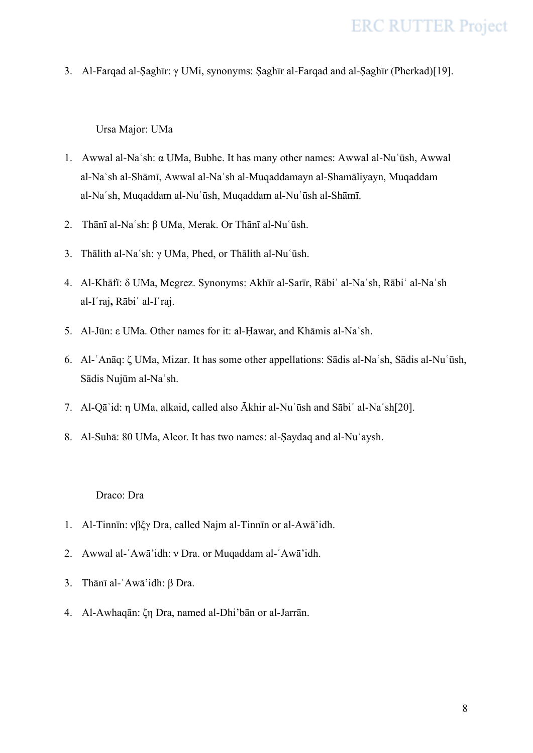3. Al-Farqad al-Ṣaghīr: γ UMi, synonyms: Ṣaghīr al-Farqad and al-Ṣaghīr (Pherkad)[19].

Ursa Major: UMa

- 1. Awwal al-Naʿsh: α UMa, Bubhe. It has many other names: Awwal al-Nuʿūsh, Awwal al-Naʿsh al-Shāmī, Awwal al-Naʿsh al-Muqaddamayn al-Shamāliyayn, Muqaddam al-Naʿsh, Muqaddam al-Nuʿūsh, Muqaddam al-Nuʿūsh al-Shāmī.
- 2. Thānī al-Naʿsh: β UMa, Merak. Or Thānī al-Nuʿūsh.
- 3. Thālith al-Naʿsh: γ UMa, Phed, or Thālith al-Nuʿūsh.
- 4. Al-Khāfī: δ UMa, Megrez. Synonyms: Akhīr al-Sarīr, Rābiʿ al-Naʿsh, Rābiʿ al-Naʿsh al-Iʿraj**,** Rābiʿ al-Iʿraj.
- 5. Al-Jūn: ε UMa. Other names for it: al-Ḥawar, and Khāmis al-Naʿsh.
- 6. Al-ʿAnāq: ζ UMa, Mizar. It has some other appellations: Sādis al-Naʿsh, Sādis al-Nuʿūsh, Sādis Nujūm al-Naʿsh.
- 7. Al-Qāʾid: η UMa, alkaid, called also Ākhir al-Nuʿūsh and Sābiʿ al-Naʿsh[20].
- 8. Al-Suhā: 80 UMa, Alcor. It has two names: al-Ṣaydaq and al-Nuʿaysh.

#### Draco: Dra

- 1. Al-Tinnīn: νβξγ Dra, called Najm al-Tinnīn or al-Awā'idh.
- 2. Awwal al-ʿAwā'idh: ν Dra. or Muqaddam al-ʿAwā'idh.
- 3. Thānī al-ʿAwā'idh: β Dra.
- 4. Al-Awhaqān: ζη Dra, named al-Dhi'bān or al-Jarrān.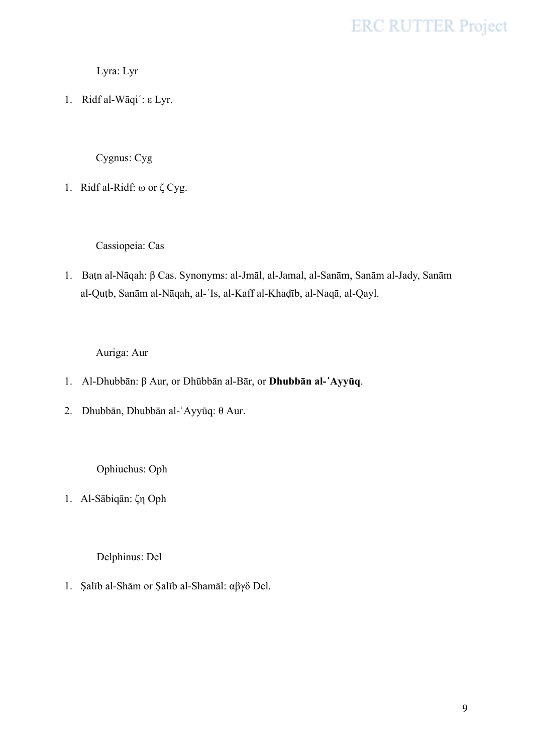Lyra: Lyr

1. Ridf al-Wāqiʿ: ε Lyr.

Cygnus: Cyg

1. Ridf al-Ridf: ω or ζ Cyg.

Cassiopeia: Cas

1. Baṭn al-Nāqah: β Cas. Synonyms: al-Jmāl, al-Jamal, al-Sanām, Sanām al-Jady, Sanām al-Quṭb, Sanām al-Nāqah, al-ʿIs, al-Kaff al-Khaḍīb, al-Naqā, al-Qayl.

Auriga: Aur

- 1. Al-Dhubbān: β Aur, or Dhūbbān al-Bār, or **Dhubbān al-**ʿ**Ayyūq**.
- 2. Dhubbān, Dhubbān al-ʿAyyūq: θ Aur.

Ophiuchus: Oph

1. Al-Sābiqān: ζη Oph

Delphinus: Del

1. Ṣalīb al-Shām or Ṣalīb al-Shamāl: αβγδ Del.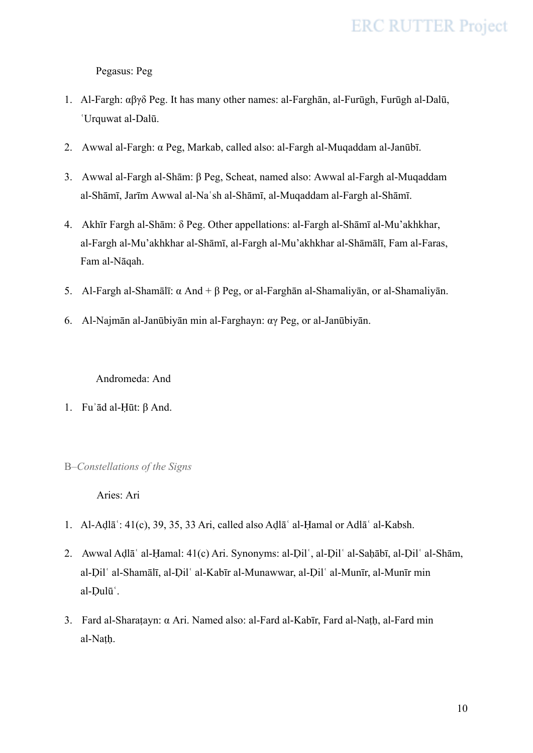Pegasus: Peg

- 1. Al-Fargh: αβγδ Peg. It has many other names: al-Farghān, al-Furūgh, Furūgh al-Dalū, ʿUrquwat al-Dalū.
- 2. Awwal al-Fargh: α Peg, Markab, called also: al-Fargh al-Muqaddam al-Janūbī.
- 3. Awwal al-Fargh al-Shām: β Peg, Scheat, named also: Awwal al-Fargh al-Muqaddam al-Shāmī, Jarīm Awwal al-Naʿsh al-Shāmī, al-Muqaddam al-Fargh al-Shāmī.
- 4. Akhīr Fargh al-Shām: δ Peg. Other appellations: al-Fargh al-Shāmī al-Mu'akhkhar, al-Fargh al-Mu'akhkhar al-Shāmī, al-Fargh al-Mu'akhkhar al-Shāmālī, Fam al-Faras, Fam al-Nāqah.
- 5. Al-Fargh al-Shamālī: α And + β Peg, or al-Farghān al-Shamaliyān, or al-Shamaliyān.
- 6. Al-Najmān al-Janūbiyān min al-Farghayn: αγ Peg, or al-Janūbiyān.

Andromeda: And

- 1. Fuʾād al-Ḥūt: β And.
- B–*Constellations of the Signs*

Aries: Ari

- 1. Al-Aḍlāʿ: 41(c), 39, 35, 33 Ari, called also Aḍlāʿ al-Ḥamal or Adlāʿ al-Kabsh.
- 2. Awwal Aḍlāʿ al-Ḥamal: 41(c) Ari. Synonyms: al-Ḍilʿ, al-Ḍilʿ al-Saḥābī, al-Ḍilʿ al-Shām, al-Ḍilʿ al-Shamālī, al-Ḍilʿ al-Kabīr al-Munawwar, al-Ḍilʿ al-Munīr, al-Munīr min al-Ḍulūʿ.
- 3. Fard al-Sharaṭayn: α Ari. Named also: al-Fard al-Kabīr, Fard al-Naṭḥ, al-Fard min al-Naṭḥ.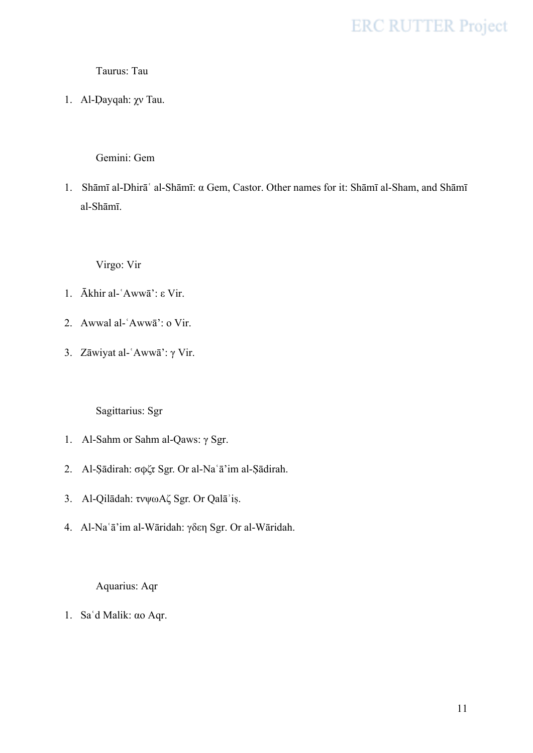#### Taurus: Tau

1. Al-Ḍayqah: χν Tau.

#### Gemini: Gem

1. Shāmī al-Dhirāʿ al-Shāmī: α Gem, Castor. Other names for it: Shāmī al-Sham, and Shāmī al-Shāmī.

Virgo: Vir

- 1. Ākhir al-ʿAwwā': ε Vir.
- 2. Awwal al-ʿAwwā': ο Vir.
- 3. Zāwiyat al-ʿAwwā': γ Vir.

Sagittarius: Sgr

- 1. Al-Sahm or Sahm al-Qaws: γ Sgr.
- 2. Al-Ṣādirah: σϕζτ Sgr. Or al-Naʿā'im al-Ṣādirah.
- 3. Al-Qilādah: τνψωΑζ Sgr. Or Qalāʾiṣ.
- 4. Al-Naʿā'im al-Wāridah: γδεη Sgr. Or al-Wāridah.

Aquarius: Aqr

1. Saʿd Malik: αο Aqr.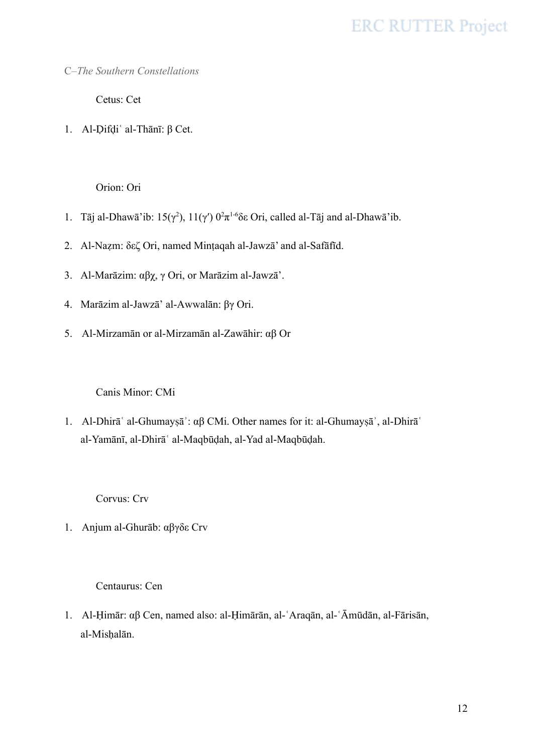C–*The Southern Constellations*

Cetus: Cet

1. Al-Ḍifḍiʿ al-Thānī: β Cet.

Orion: Ori

- 1. Tāj al-Dhawā'ib: 15(γ<sup>2</sup>), 11(γ')  $0^2 \pi^{1.6}$ δε Ori, called al-Tāj and al-Dhawā'ib.
- 2. Al-Naẓm: δεζ Ori, named Minṭaqah al-Jawzā' and al-Safāfīd.
- 3. Al-Marāzim: αβχ, γ Ori, or Marāzim al-Jawzā'.
- 4. Marāzim al-Jawzā' al-Awwalān: βγ Ori.
- 5. Al-Mirzamān or al-Mirzamān al-Zawāhir: αβ Or

Canis Minor: CMi

1. Al-Dhirāʿ al-Ghumayṣāʾ: αβ CMi. Other names for it: al-Ghumayṣāʾ, al-Dhirāʿ al-Yamānī, al-Dhirāʿ al-Maqbūḍah, al-Yad al-Maqbūḍah.

Corvus: Crv

1. Anjum al-Ghurāb: αβγδε Crv

Centaurus: Cen

1. Al-Ḥimār: αβ Cen, named also: al-Ḥimārān, al-ʿAraqān, al-ʿĀmūdān, al-Fārisān, al-Misḥalān.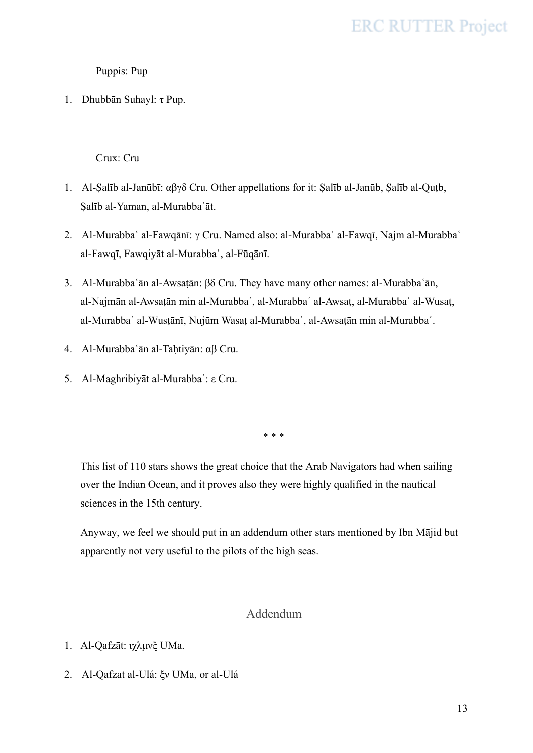Puppis: Pup

1. Dhubbān Suhayl: τ Pup.

Crux: Cru

- 1. Al-Ṣalīb al-Janūbī: αβγδ Cru. Other appellations for it: Ṣalīb al-Janūb, Ṣalīb al-Quṭb, Ṣalīb al-Yaman, al-Murabbaʿāt.
- 2. Al-Murabbaʿ al-Fawqānī: γ Cru. Named also: al-Murabbaʿ al-Fawqī, Najm al-Murabbaʿ al-Fawqī, Fawqiyāt al-Murabbaʿ, al-Fūqānī.
- 3. Al-Murabbaʿān al-Awsaṭān: βδ Cru. They have many other names: al-Murabbaʿān, al-Najmān al-Awsaṭān min al-Murabbaʿ, al-Murabbaʿ al-Awsaṭ, al-Murabbaʿ al-Wusaṭ, al-Murabbaʿ al-Wusṭānī, Nujūm Wasaṭ al-Murabbaʿ, al-Awsaṭān min al-Murabbaʿ.
- 4. Al-Murabbaʿān al-Taḥtiyān: αβ Cru.
- 5. Al-Maghribiyāt al-Murabbaʿ: ε Cru.

\* \* \*

This list of 110 stars shows the great choice that the Arab Navigators had when sailing over the Indian Ocean, and it proves also they were highly qualified in the nautical sciences in the 15th century.

Anyway, we feel we should put in an addendum other stars mentioned by Ibn Mājid but apparently not very useful to the pilots of the high seas.

#### Addendum

- 1. Al-Qafzāt: ιχλμνξ UMa.
- 2. Al-Qafzat al-Ulá: ξν UMa, or al-Ulá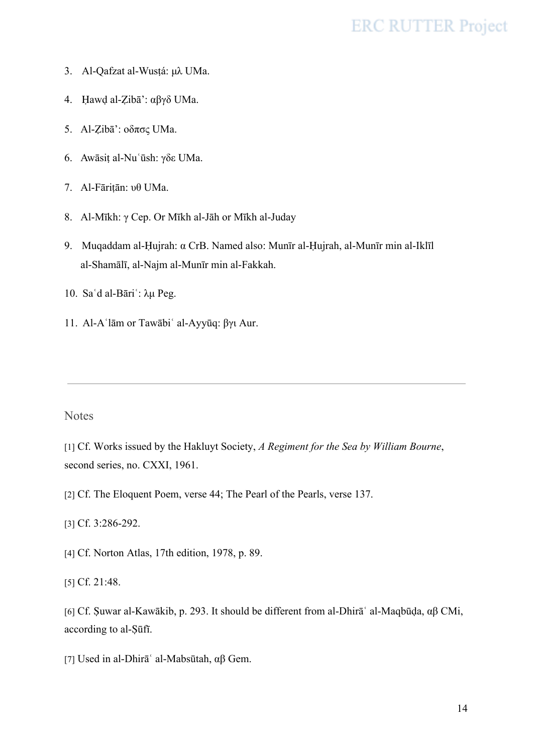- 3. Al-Qafzat al-Wusṭá: μλ UMa.
- 4. Ḥawḍ al-Ẓibā': αβγδ UMa.
- 5. Al-Ẓibā': οδπσς UMa.
- 6. Awāsiṭ al-Nuʿūsh: γδε UMa.
- 7. Al-Fāriṭān: υθ UMa.
- 8. Al-Mīkh: γ Cep. Or Mīkh al-Jāh or Mīkh al-Juday
- 9. Muqaddam al-Ḥujrah: α CrB. Named also: Munīr al-Ḥujrah, al-Munīr min al-Iklīl al-Shamālī, al-Najm al-Munīr min al-Fakkah.
- 10. Saʿd al-Bāriʿ: λμ Peg.
- 11. Al-Aʿlām or Tawābiʿ al-Ayyūq: βγι Aur.

#### **Notes**

[1] Cf. Works issued by the Hakluyt Society, *A Regiment for the Sea by William Bourne*, second series, no. CXXI, 1961.

[2] Cf. The Eloquent Poem, verse 44; The Pearl of the Pearls, verse 137.

[3] Cf. 3:286-292.

- [4] Cf. Norton Atlas, 17th edition, 1978, p. 89.
- [5] Cf. 21:48.

[6] Cf. Ṣuwar al-Kawākib, p. 293. It should be different from al-Dhirāʿ al-Maqbūḍa, αβ CMi, according to al-Ṣūfī.

[7] Used in al-Dhirāʿ al-Mabsūtah, αβ Gem.